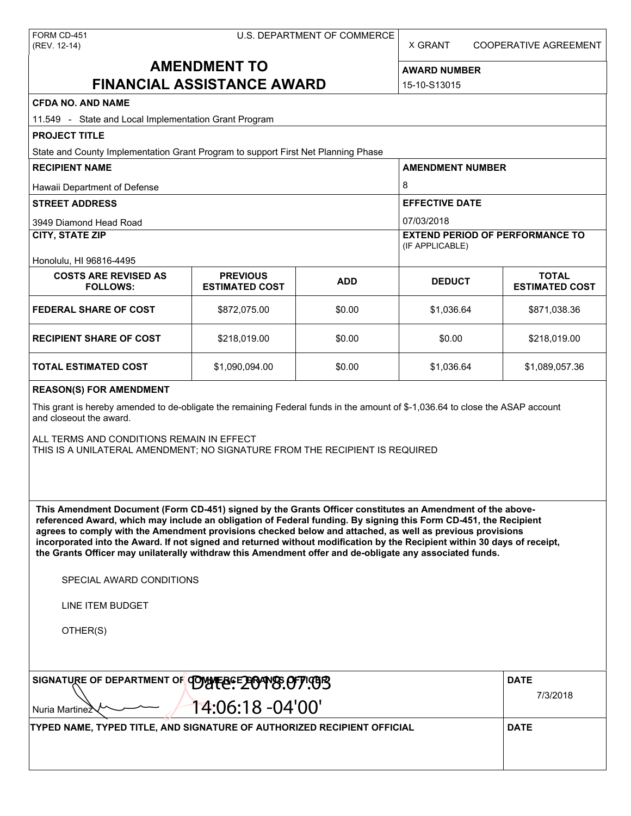X GRANT COOPERATIVE AGREEMENT

# **AMENDMENT TO FINANCIAL ASSISTANCE AWARD**

**AWARD NUMBER** 15-10-S13015

# **CFDA NO. AND NAME**

| CFDA NO. AND NAME<br>11.549 - State and Local Implementation Grant Program                                                                                                                                                                                                                                                                                                                                                                                                                                                                                                                                                                    |                                          |            |                                                           |                                       |  |  |  |
|-----------------------------------------------------------------------------------------------------------------------------------------------------------------------------------------------------------------------------------------------------------------------------------------------------------------------------------------------------------------------------------------------------------------------------------------------------------------------------------------------------------------------------------------------------------------------------------------------------------------------------------------------|------------------------------------------|------------|-----------------------------------------------------------|---------------------------------------|--|--|--|
| <b>PROJECT TITLE</b>                                                                                                                                                                                                                                                                                                                                                                                                                                                                                                                                                                                                                          |                                          |            |                                                           |                                       |  |  |  |
| State and County Implementation Grant Program to support First Net Planning Phase                                                                                                                                                                                                                                                                                                                                                                                                                                                                                                                                                             |                                          |            |                                                           |                                       |  |  |  |
| <b>RECIPIENT NAME</b>                                                                                                                                                                                                                                                                                                                                                                                                                                                                                                                                                                                                                         |                                          |            | <b>AMENDMENT NUMBER</b>                                   |                                       |  |  |  |
| Hawaii Department of Defense                                                                                                                                                                                                                                                                                                                                                                                                                                                                                                                                                                                                                  |                                          |            | 8                                                         |                                       |  |  |  |
| <b>STREET ADDRESS</b>                                                                                                                                                                                                                                                                                                                                                                                                                                                                                                                                                                                                                         |                                          |            | <b>EFFECTIVE DATE</b>                                     |                                       |  |  |  |
| 3949 Diamond Head Road                                                                                                                                                                                                                                                                                                                                                                                                                                                                                                                                                                                                                        |                                          |            | 07/03/2018                                                |                                       |  |  |  |
| <b>CITY, STATE ZIP</b>                                                                                                                                                                                                                                                                                                                                                                                                                                                                                                                                                                                                                        |                                          |            | <b>EXTEND PERIOD OF PERFORMANCE TO</b><br>(IF APPLICABLE) |                                       |  |  |  |
| Honolulu, HI 96816-4495                                                                                                                                                                                                                                                                                                                                                                                                                                                                                                                                                                                                                       |                                          |            |                                                           |                                       |  |  |  |
| <b>COSTS ARE REVISED AS</b><br><b>FOLLOWS:</b>                                                                                                                                                                                                                                                                                                                                                                                                                                                                                                                                                                                                | <b>PREVIOUS</b><br><b>ESTIMATED COST</b> | <b>ADD</b> | <b>DEDUCT</b>                                             | <b>TOTAL</b><br><b>ESTIMATED COST</b> |  |  |  |
| <b>FEDERAL SHARE OF COST</b>                                                                                                                                                                                                                                                                                                                                                                                                                                                                                                                                                                                                                  | \$872,075.00                             | \$0.00     | \$1,036.64                                                | \$871,038.36                          |  |  |  |
| <b>RECIPIENT SHARE OF COST</b>                                                                                                                                                                                                                                                                                                                                                                                                                                                                                                                                                                                                                | \$218,019.00                             | \$0.00     | \$0.00                                                    | \$218,019.00                          |  |  |  |
| <b>TOTAL ESTIMATED COST</b>                                                                                                                                                                                                                                                                                                                                                                                                                                                                                                                                                                                                                   | \$1,090,094.00                           | \$0.00     | \$1,036.64                                                | \$1,089,057.36                        |  |  |  |
| This grant is hereby amended to de-obligate the remaining Federal funds in the amount of \$-1,036.64 to close the ASAP account<br>and closeout the award.<br>ALL TERMS AND CONDITIONS REMAIN IN EFFECT<br>THIS IS A UNILATERAL AMENDMENT; NO SIGNATURE FROM THE RECIPIENT IS REQUIRED                                                                                                                                                                                                                                                                                                                                                         |                                          |            |                                                           |                                       |  |  |  |
| This Amendment Document (Form CD-451) signed by the Grants Officer constitutes an Amendment of the above-<br>referenced Award, which may include an obligation of Federal funding. By signing this Form CD-451, the Recipient<br>agrees to comply with the Amendment provisions checked below and attached, as well as previous provisions<br>incorporated into the Award. If not signed and returned without modification by the Recipient within 30 days of receipt,<br>the Grants Officer may unilaterally withdraw this Amendment offer and de-obligate any associated funds.<br>SPECIAL AWARD CONDITIONS<br>LINE ITEM BUDGET<br>OTHER(S) |                                          |            |                                                           |                                       |  |  |  |
| SIGNATURE OF DEPARTMENT OF COMMERCE 2004 US. OFFICERS                                                                                                                                                                                                                                                                                                                                                                                                                                                                                                                                                                                         | <b>DATE</b>                              |            |                                                           |                                       |  |  |  |
| Nuria Martinez                                                                                                                                                                                                                                                                                                                                                                                                                                                                                                                                                                                                                                | 14:06:18 -04'00'                         |            |                                                           | 7/3/2018                              |  |  |  |
| TYPED NAME, TYPED TITLE, AND SIGNATURE OF AUTHORIZED RECIPIENT OFFICIAL                                                                                                                                                                                                                                                                                                                                                                                                                                                                                                                                                                       |                                          |            |                                                           | <b>DATE</b>                           |  |  |  |
|                                                                                                                                                                                                                                                                                                                                                                                                                                                                                                                                                                                                                                               |                                          |            |                                                           |                                       |  |  |  |